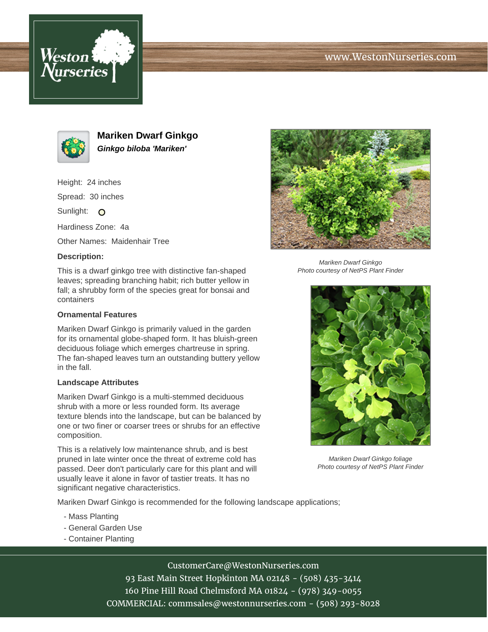# www.WestonNurseries.com





**Mariken Dwarf Ginkgo Ginkgo biloba 'Mariken'**

Height: 24 inches

Spread: 30 inches

Sunlight: O

Hardiness Zone: 4a

Other Names: Maidenhair Tree

### **Description:**

This is a dwarf ginkgo tree with distinctive fan-shaped leaves; spreading branching habit; rich butter yellow in fall; a shrubby form of the species great for bonsai and containers

#### **Ornamental Features**

Mariken Dwarf Ginkgo is primarily valued in the garden for its ornamental globe-shaped form. It has bluish-green deciduous foliage which emerges chartreuse in spring. The fan-shaped leaves turn an outstanding buttery yellow in the fall.

#### **Landscape Attributes**

Mariken Dwarf Ginkgo is a multi-stemmed deciduous shrub with a more or less rounded form. Its average texture blends into the landscape, but can be balanced by one or two finer or coarser trees or shrubs for an effective composition.

This is a relatively low maintenance shrub, and is best pruned in late winter once the threat of extreme cold has passed. Deer don't particularly care for this plant and will usually leave it alone in favor of tastier treats. It has no significant negative characteristics.

Mariken Dwarf Ginkgo is recommended for the following landscape applications;

- Mass Planting
- General Garden Use
- Container Planting



Mariken Dwarf Ginkgo Photo courtesy of NetPS Plant Finder



Mariken Dwarf Ginkgo foliage Photo courtesy of NetPS Plant Finder

CustomerCare@WestonNurseries.com

93 East Main Street Hopkinton MA 02148 - (508) 435-3414 160 Pine Hill Road Chelmsford MA 01824 - (978) 349-0055 COMMERCIAL: commsales@westonnurseries.com - (508) 293-8028